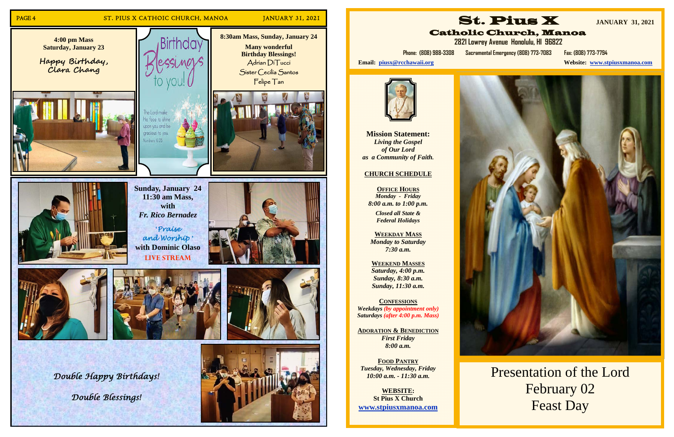

**Mission Statement:**  *Living the Gospel of Our Lord as a Community of Faith.* 

### **CHURCH SCHEDULE**

**St. Pius X JANUARY 31, 2021**  Catholic Church, Manoa  **2821 Lowrey Avenue Honolulu, HI 96822** 

**OFFICE HOURS** *Monday - Friday 8:00 a.m. to 1:00 p.m.* 

> *Closed all State & Federal Holidays*

**WEEKDAY MASS**  *Monday to Saturday 7:30 a.m.* 

**WEEKEND MASSES**  *Saturday, 4:00 p.m. Sunday, 8:30 a.m. Sunday, 11:30 a.m.* 

**CONFESSIONS** *Weekdays (by appointment only) Saturdays (after 4:00 p.m. Mass)* 

**ADORATION & BENEDICTION** *First Friday 8:00 a.m.* 

**FOOD PANTRY** *Tuesday, Wednesday, Friday 10:00 a.m. - 11:30 a.m.* 

**WEBSITE: St Pius X Church www.stpiusxmanoa.com** 





**Website: www.stpiusxmanoa.com** 



**Phone: (808) 988-3308 Sacramental Emergency (808) 773-7083 Fax: (808) 773-7794** 

Email: piusx@rcchawaii.org



Presentation of the Lord February 02 Feast Day